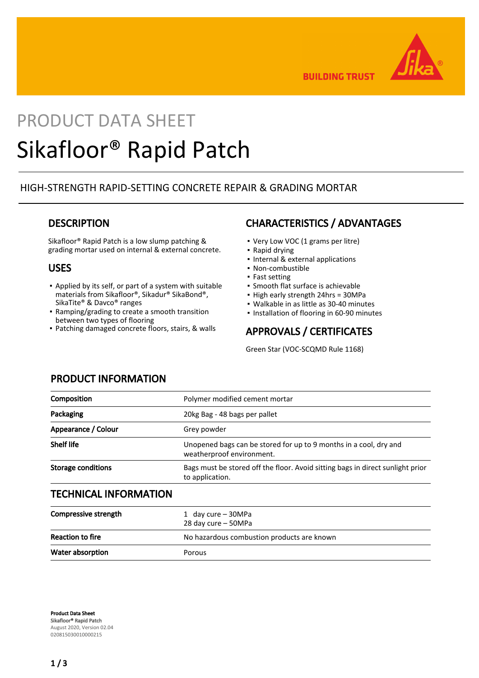

**BUILDING TRUST** 

# PRODUCT DATA SHEET Sikafloor® Rapid Patch

## HIGH-STRENGTH RAPID-SETTING CONCRETE REPAIR & GRADING MORTAR

## **DESCRIPTION**

Sikafloor® Rapid Patch is a low slump patching & grading mortar used on internal & external concrete.

## USES

- Applied by its self, or part of a system with suitable materials from Sikafloor®, Sikadur® SikaBond®, SikaTite® & Davco® ranges
- Ramping/grading to create a smooth transition between two types of flooring
- Patching damaged concrete floors, stairs, & walls

# CHARACTERISTICS / ADVANTAGES

- Very Low VOC (1 grams per litre)
- Rapid drying
- Internal & external applications
- Non-combustible
- Fast setting
- **· Smooth flat surface is achievable**
- High early strength 24hrs = 30MPa
- Walkable in as little as 30-40 minutes
- Installation of flooring in 60-90 minutes

# APPROVALS / CERTIFICATES

Green Star (VOC-SCQMD Rule 1168)

## PRODUCT INFORMATION

| Composition                  | Polymer modified cement mortar                                                                    |
|------------------------------|---------------------------------------------------------------------------------------------------|
| Packaging                    | 20kg Bag - 48 bags per pallet                                                                     |
| Appearance / Colour          | Grey powder                                                                                       |
| <b>Shelf life</b>            | Unopened bags can be stored for up to 9 months in a cool, dry and<br>weatherproof environment.    |
| <b>Storage conditions</b>    | Bags must be stored off the floor. Avoid sitting bags in direct sunlight prior<br>to application. |
| <b>TECHNICAL INFORMATION</b> |                                                                                                   |
| <b>Compressive strength</b>  | 1 day cure - 30MPa<br>28 day cure - 50MPa                                                         |
| <b>Reaction to fire</b>      | No hazardous combustion products are known                                                        |
| Water absorption             | Porous                                                                                            |

Product Data Sheet Sikafloor® Rapid Patch August 2020, Version 02.04 020815030010000215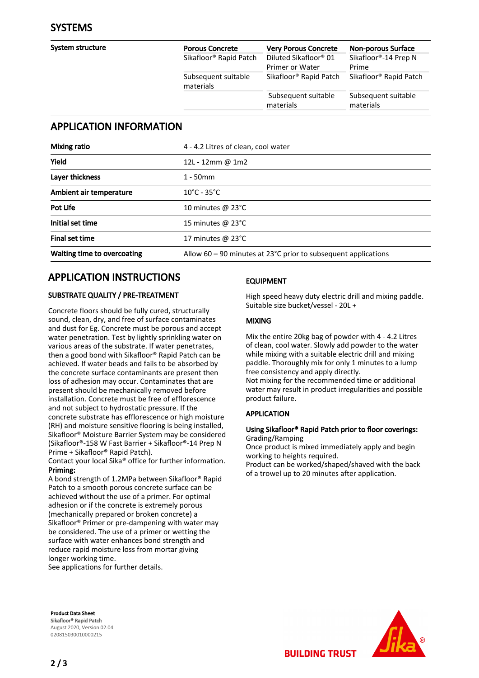| <b>Porous Concrete</b>             | <b>Very Porous Concrete</b>                          | <b>Non-porous Surface</b>                  |
|------------------------------------|------------------------------------------------------|--------------------------------------------|
| Sikafloor <sup>®</sup> Rapid Patch | Diluted Sikafloor <sup>®</sup> 01<br>Primer or Water | Sikafloor <sup>®</sup> -14 Prep N<br>Prime |
| Subsequent suitable<br>materials   | Sikafloor <sup>®</sup> Rapid Patch                   | Sikafloor <sup>®</sup> Rapid Patch         |
|                                    | Subsequent suitable<br>materials                     | Subsequent suitable<br>materials           |
|                                    |                                                      |                                            |

## APPLICATION INFORMATION

| <b>Mixing ratio</b>         | 4 - 4.2 Litres of clean, cool water                                         |
|-----------------------------|-----------------------------------------------------------------------------|
| Yield                       | 12L - 12mm @ 1m2                                                            |
| Layer thickness             | $1 - 50$ mm                                                                 |
| Ambient air temperature     | $10^{\circ}$ C - 35 $^{\circ}$ C                                            |
| Pot Life                    | 10 minutes $\omega$ 23°C                                                    |
| Initial set time            | 15 minutes @ 23°C                                                           |
| Final set time              | 17 minutes $\omega$ 23°C                                                    |
| Waiting time to overcoating | Allow $60 - 90$ minutes at 23 $^{\circ}$ C prior to subsequent applications |

# APPLICATION INSTRUCTIONS

#### SUBSTRATE QUALITY / PRE-TREATMENT

Concrete floors should be fully cured, structurally sound, clean, dry, and free of surface contaminates and dust for Eg. Concrete must be porous and accept water penetration. Test by lightly sprinkling water on various areas of the substrate. If water penetrates, then a good bond with Sikafloor® Rapid Patch can be achieved. If water beads and fails to be absorbed by the concrete surface contaminants are present then loss of adhesion may occur. Contaminates that are present should be mechanically removed before installation. Concrete must be free of efflorescence and not subject to hydrostatic pressure. If the concrete substrate has efflorescence or high moisture (RH) and moisture sensitive flooring is being installed, Sikafloor® Moisture Barrier System may be considered (Sikafloor®-158 W Fast Barrier + Sikafloor®-14 Prep N Prime + Sikafloor® Rapid Patch).

Contact your local Sika® office for further information. Priming:

A bond strength of 1.2MPa between Sikafloor® Rapid Patch to a smooth porous concrete surface can be achieved without the use of a primer. For optimal adhesion or if the concrete is extremely porous (mechanically prepared or broken concrete) a Sikafloor® Primer or pre-dampening with water may be considered. The use of a primer or wetting the surface with water enhances bond strength and reduce rapid moisture loss from mortar giving longer working time.

See applications for further details.

#### EQUIPMENT

High speed heavy duty electric drill and mixing paddle. Suitable size bucket/vessel - 20L +

#### MIXING

Mix the entire 20kg bag of powder with 4 - 4.2 Litres of clean, cool water. Slowly add powder to the water while mixing with a suitable electric drill and mixing paddle. Thoroughly mix for only 1 minutes to a lump free consistency and apply directly.

Not mixing for the recommended time or additional water may result in product irregularities and possible product failure.

#### APPLICATION

#### Using Sikafloor® Rapid Patch prior to floor coverings: Grading/Ramping

Once product is mixed immediately apply and begin working to heights required.

**BUILDING TRUST** 

Product can be worked/shaped/shaved with the back of a trowel up to 20 minutes after application.

Product Data Sheet Sikafloor® Rapid Patch August 2020, Version 02.04 020815030010000215